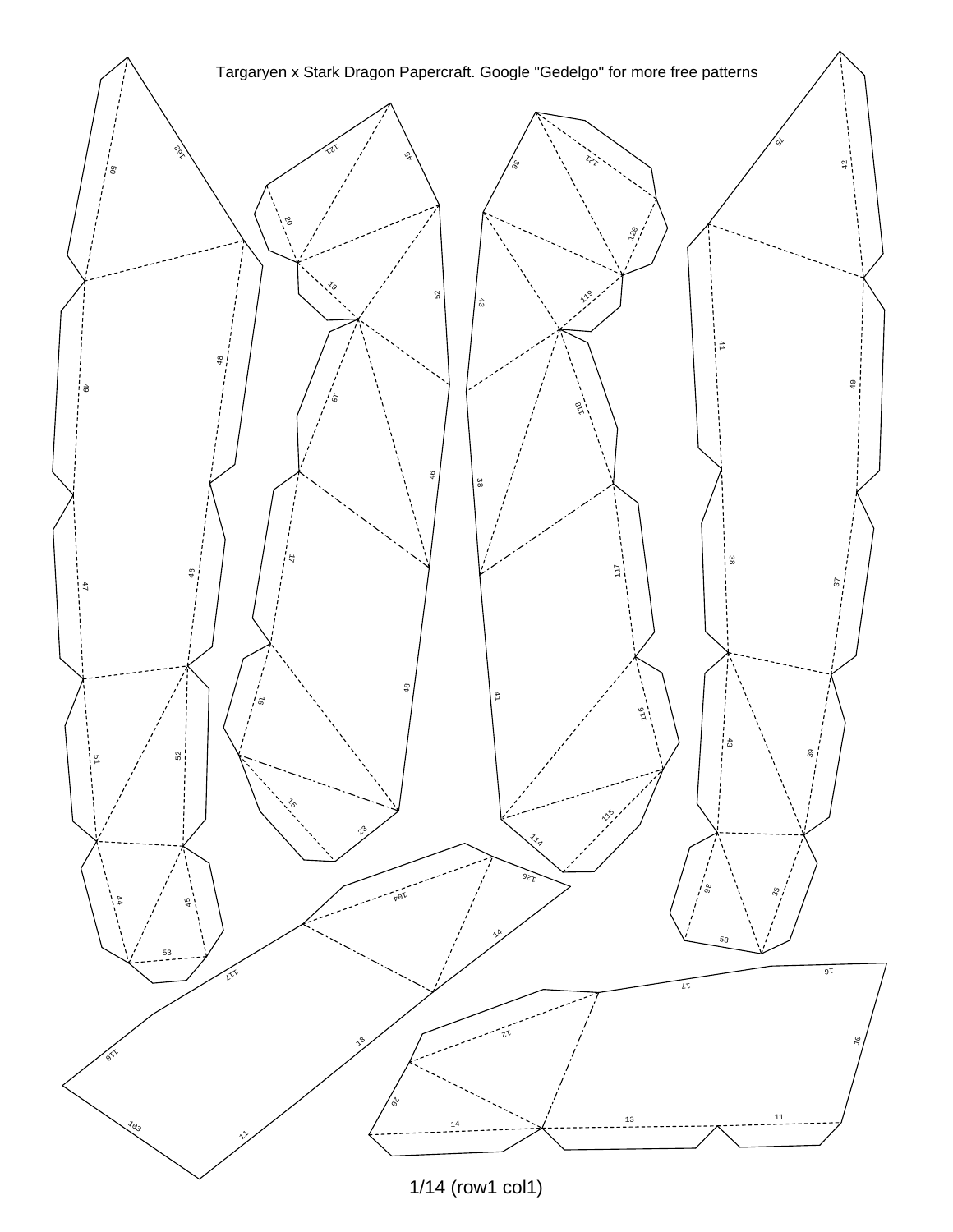

<sup>1/14 (</sup>row1 col1)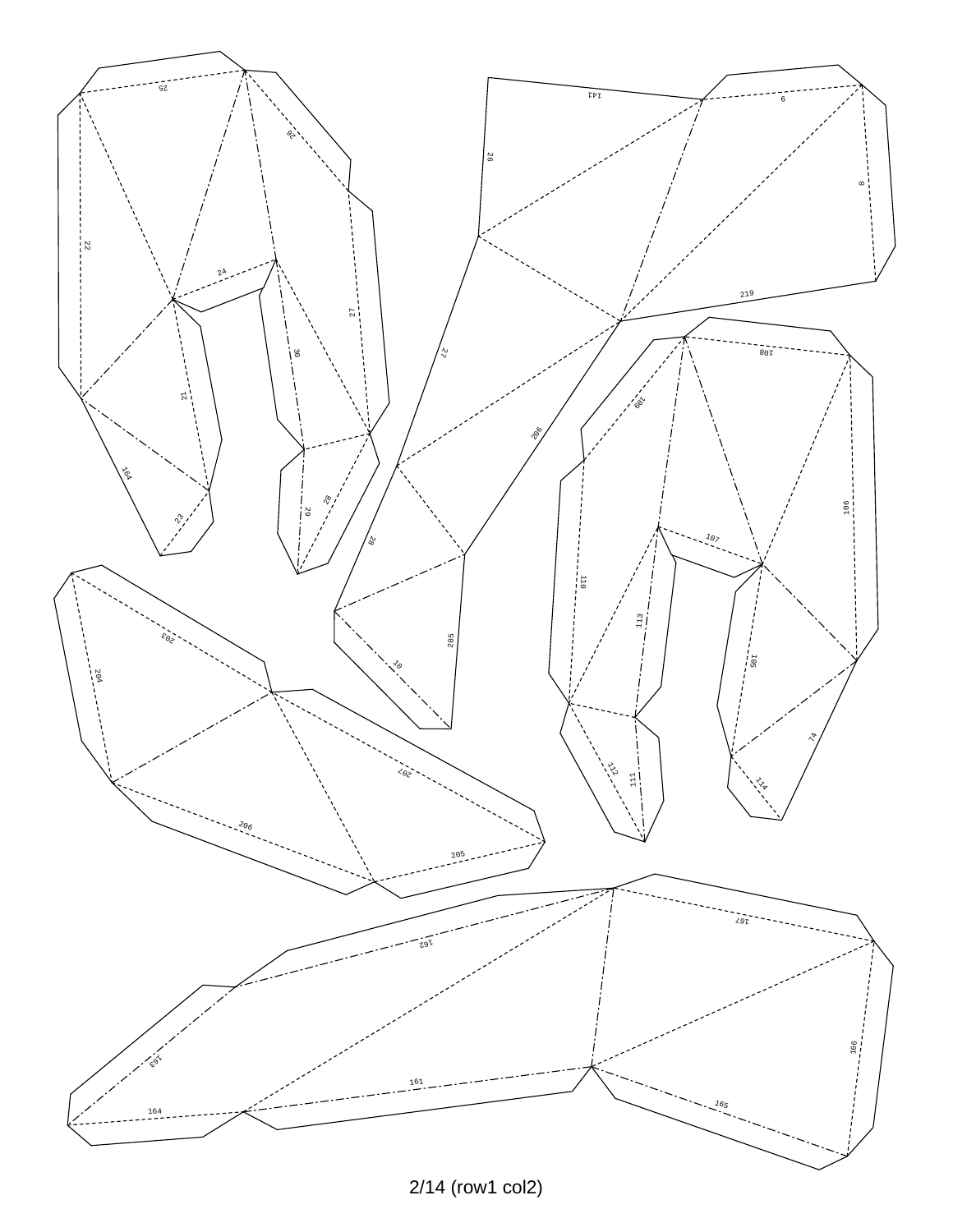

2/14 (row1 col2)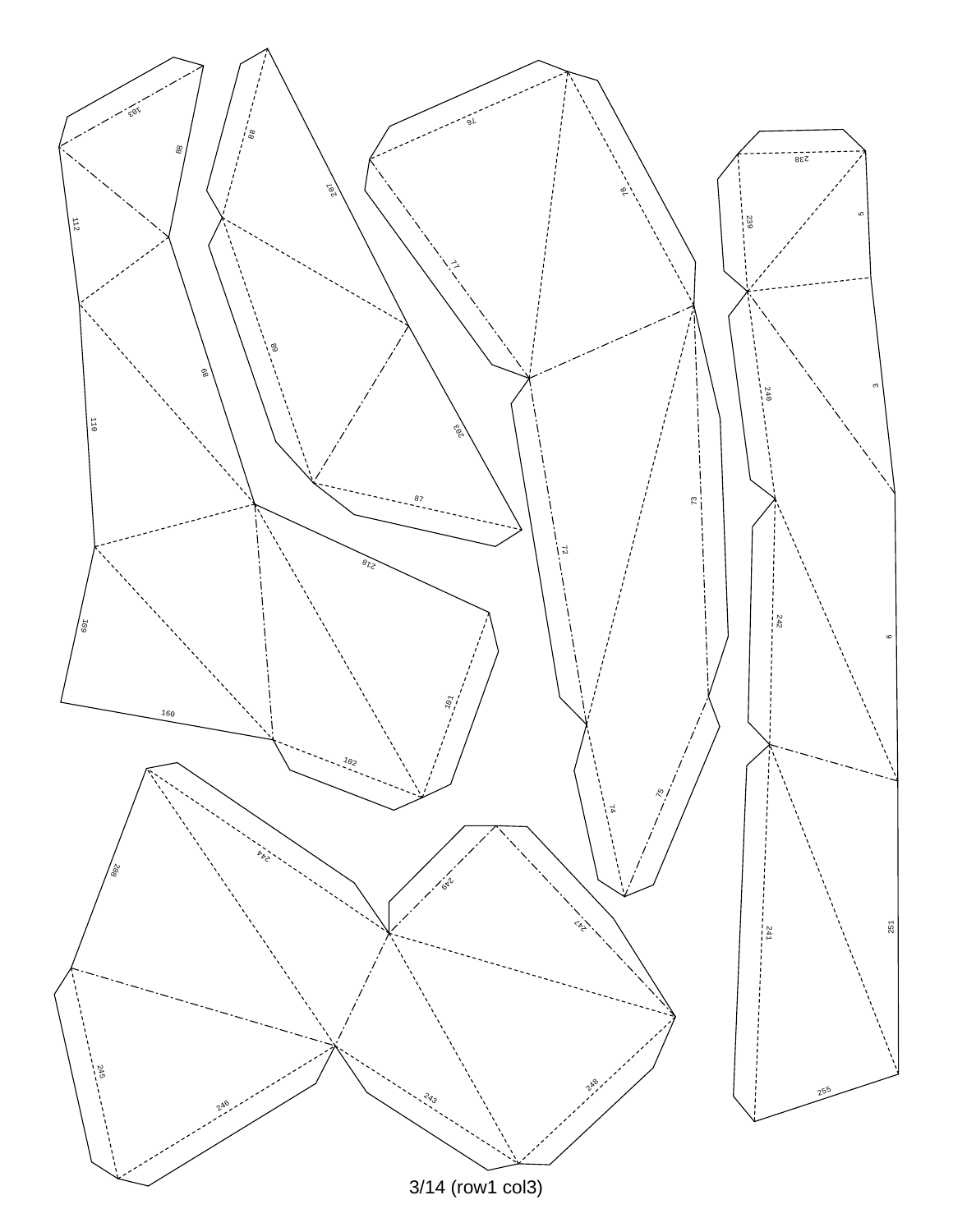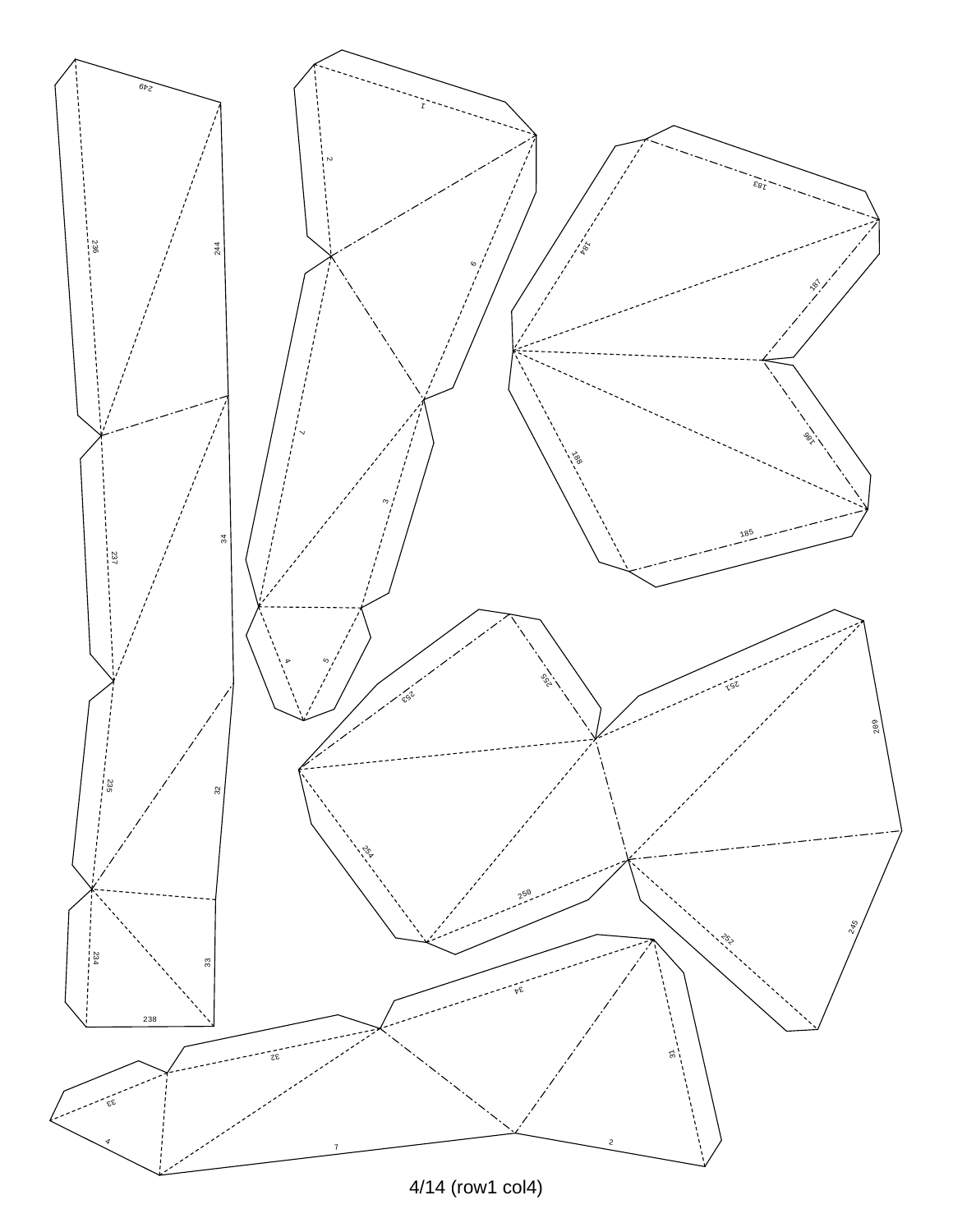![](_page_3_Figure_0.jpeg)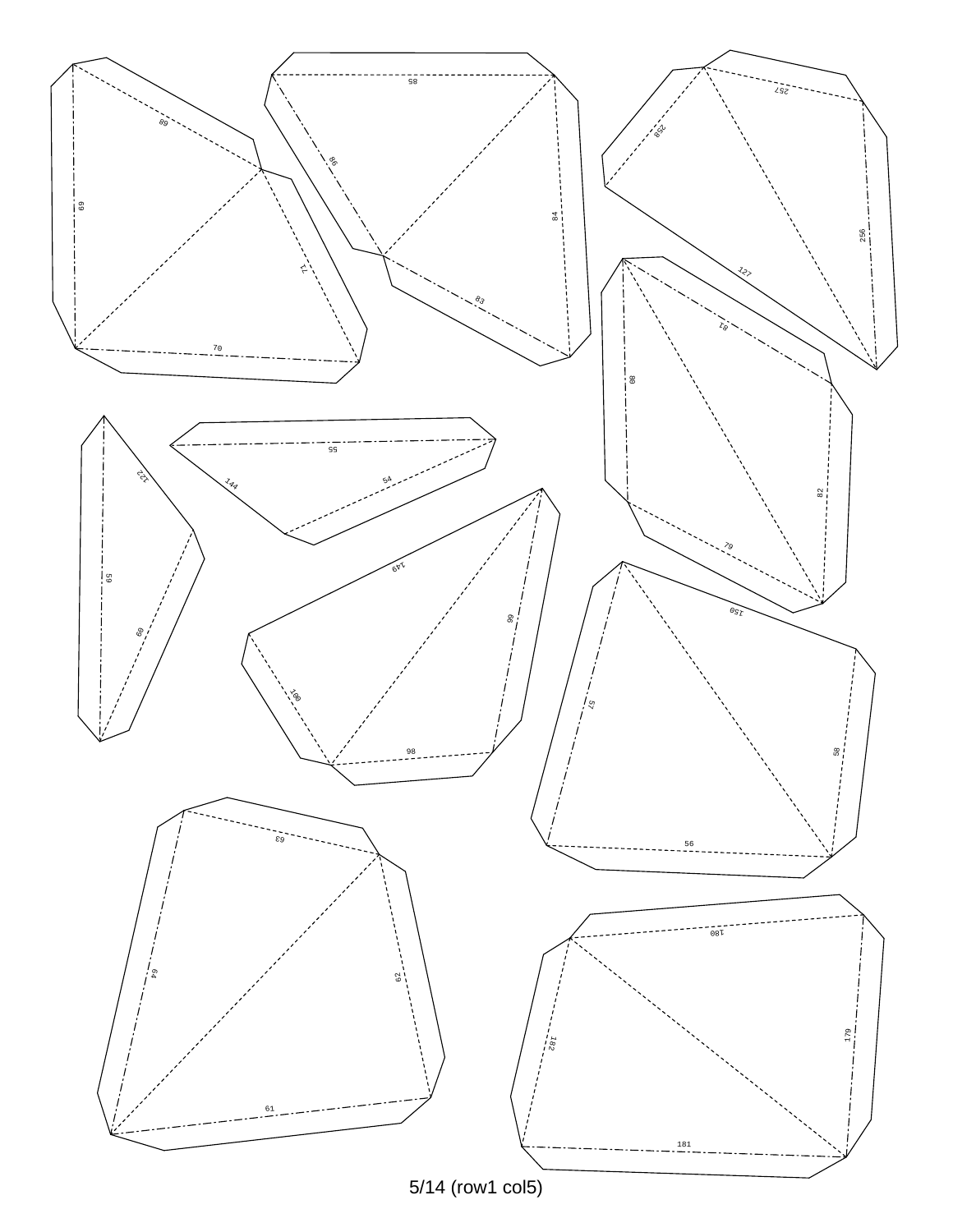![](_page_4_Figure_0.jpeg)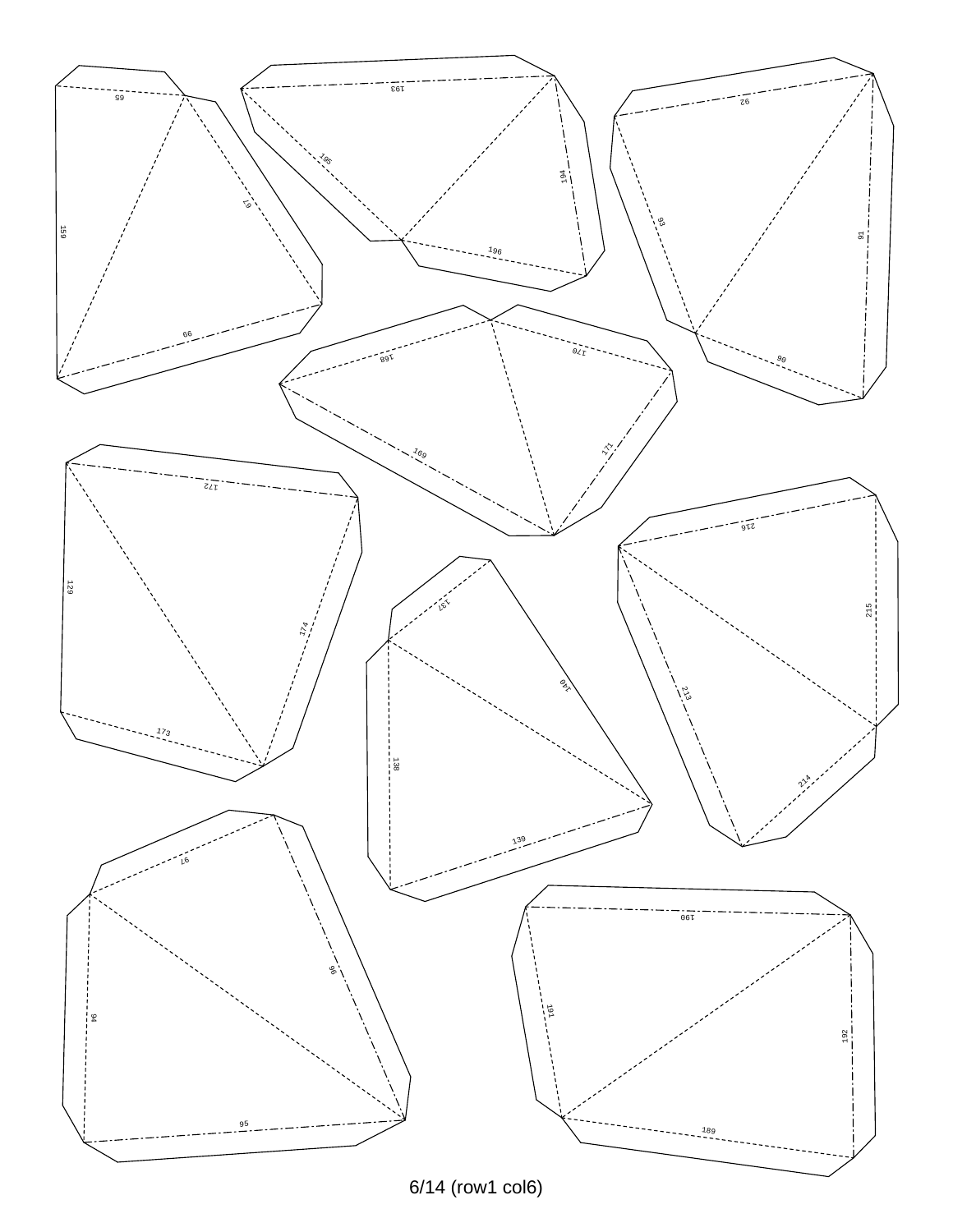![](_page_5_Figure_0.jpeg)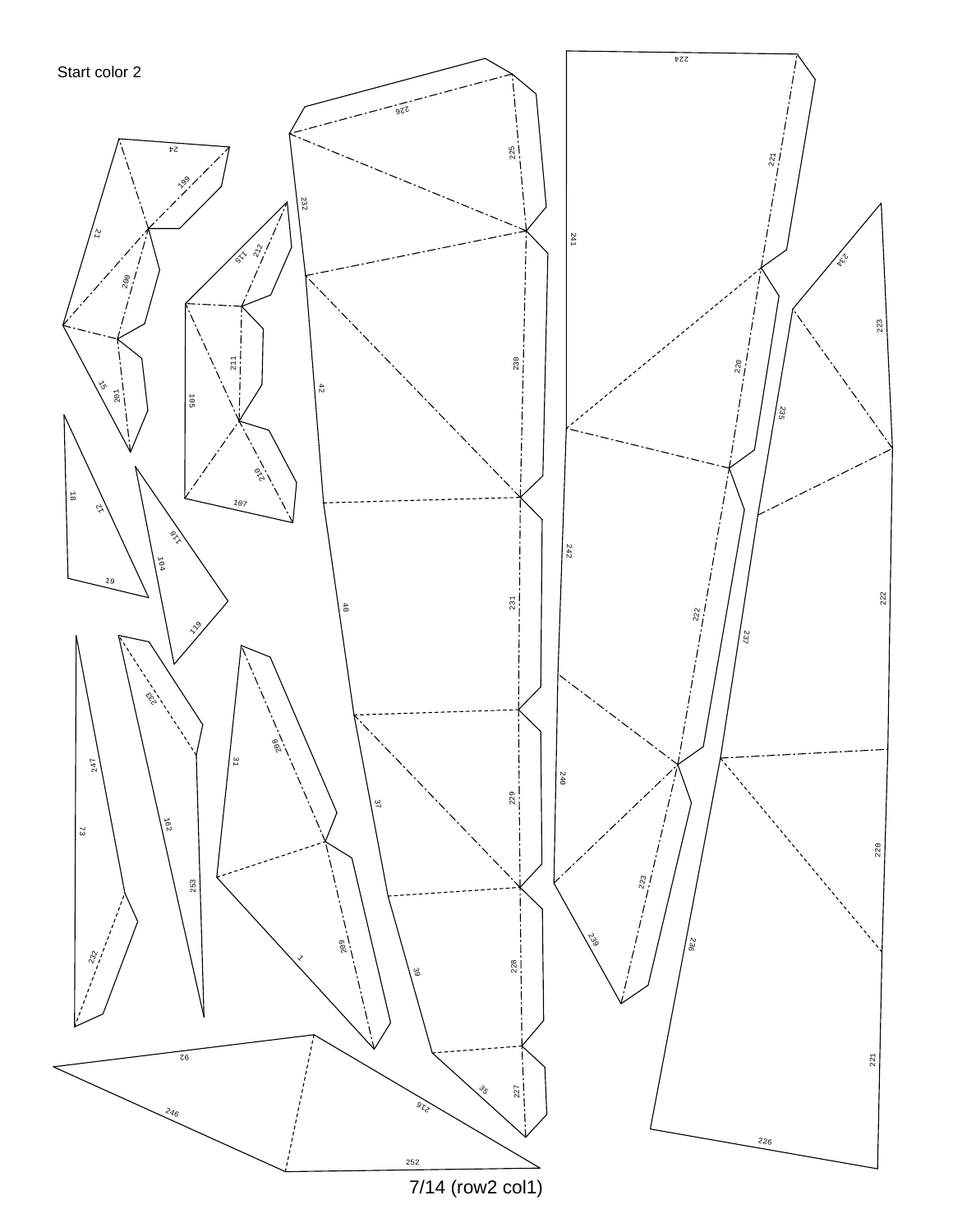![](_page_6_Figure_0.jpeg)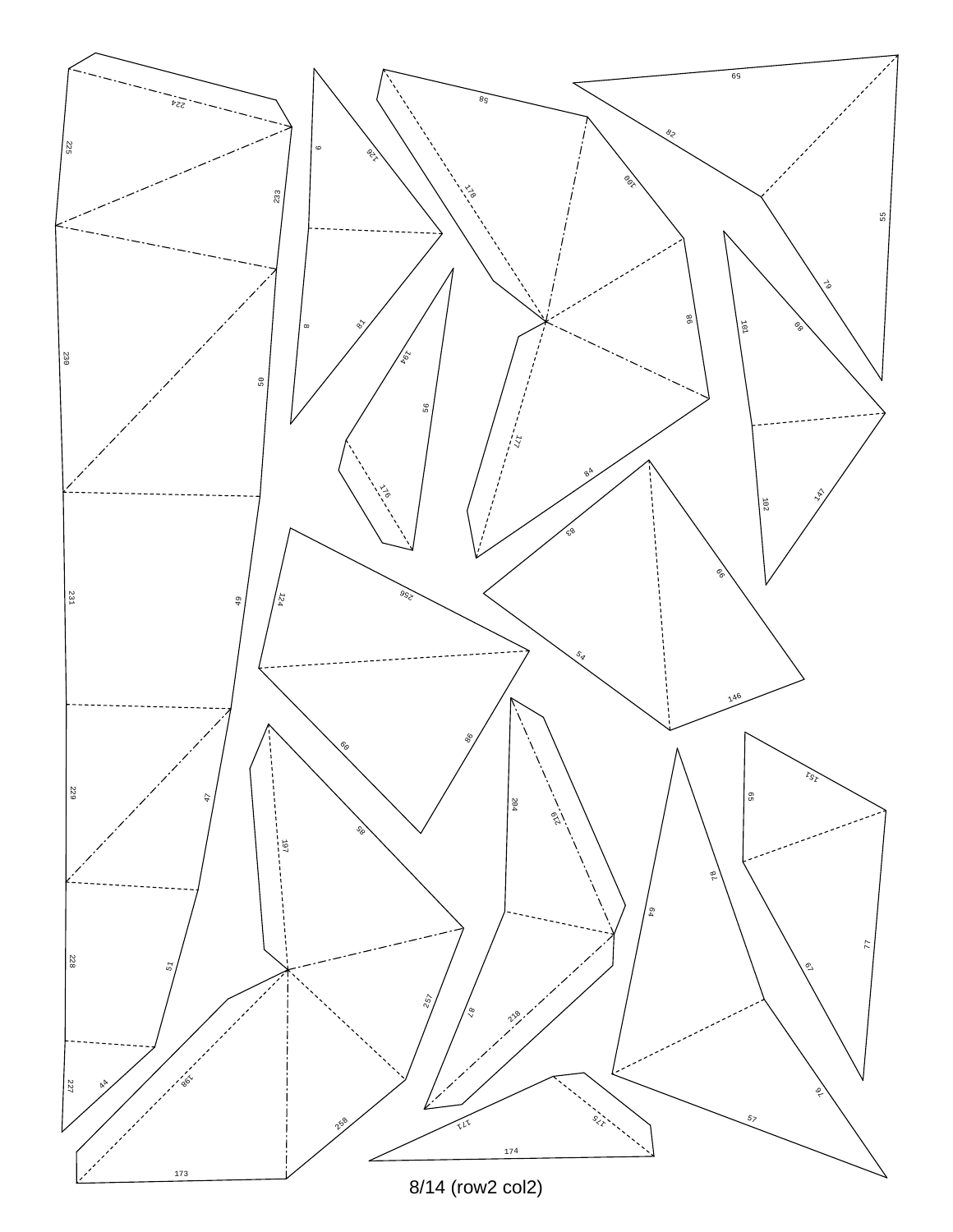![](_page_7_Figure_0.jpeg)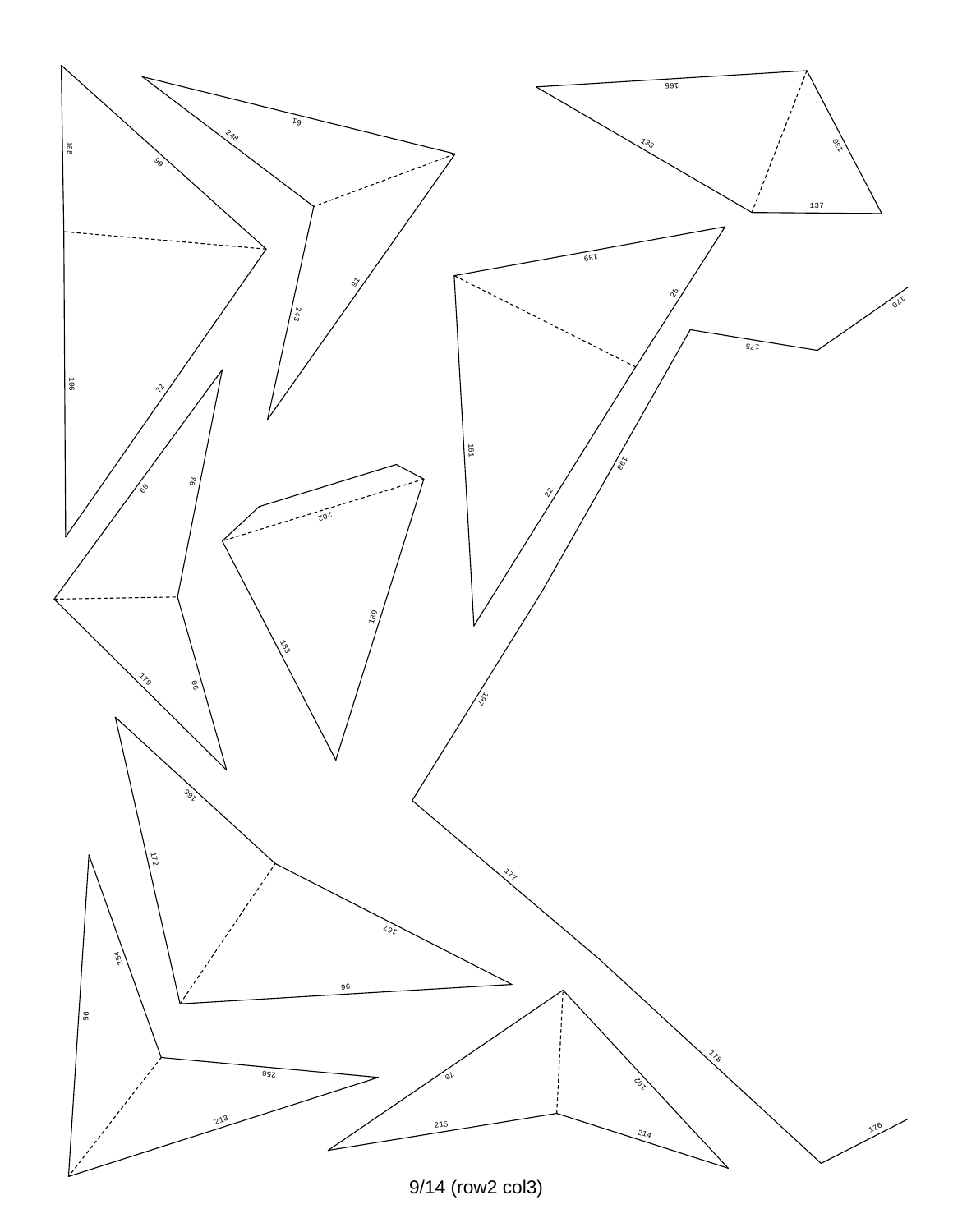![](_page_8_Figure_0.jpeg)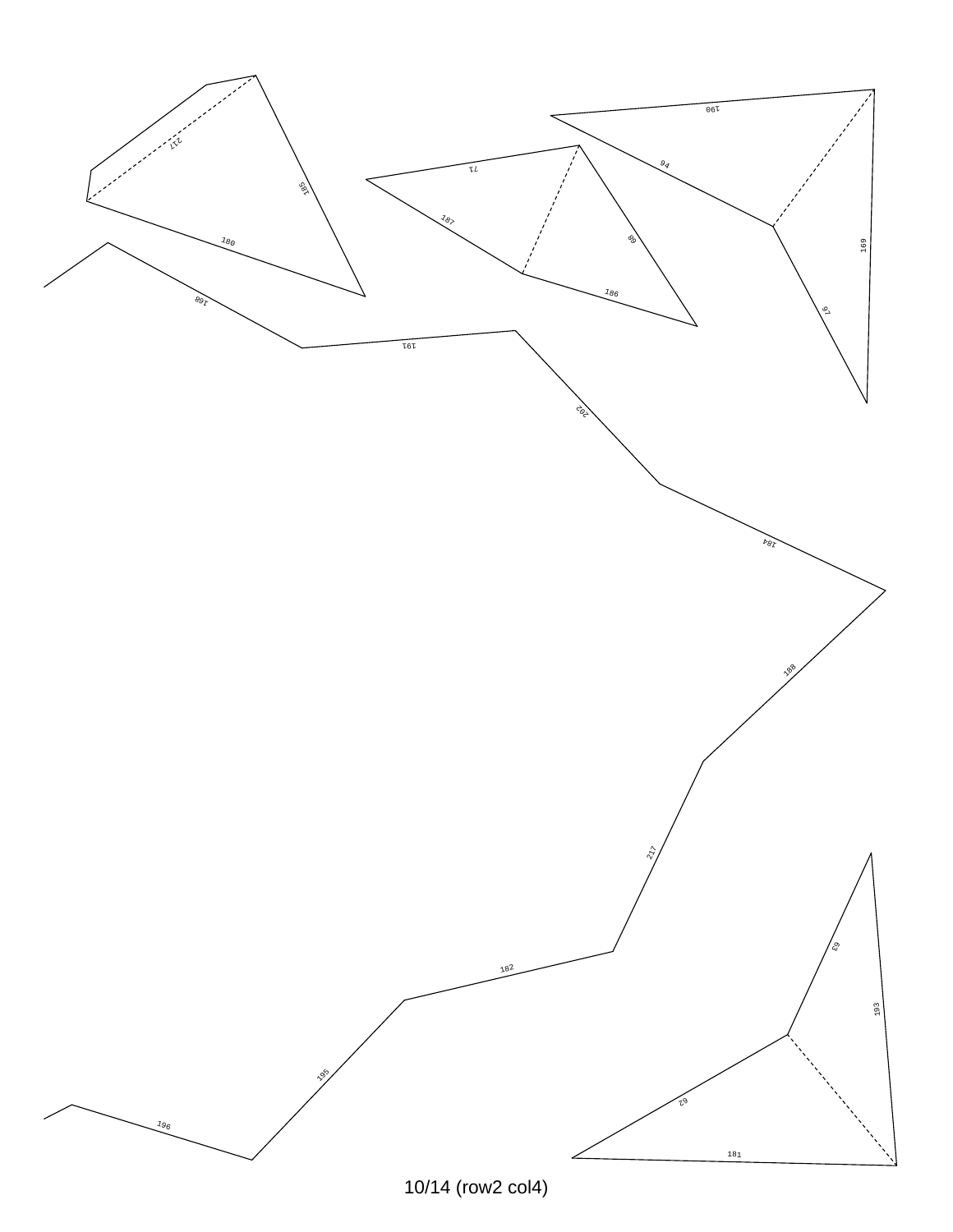![](_page_9_Figure_0.jpeg)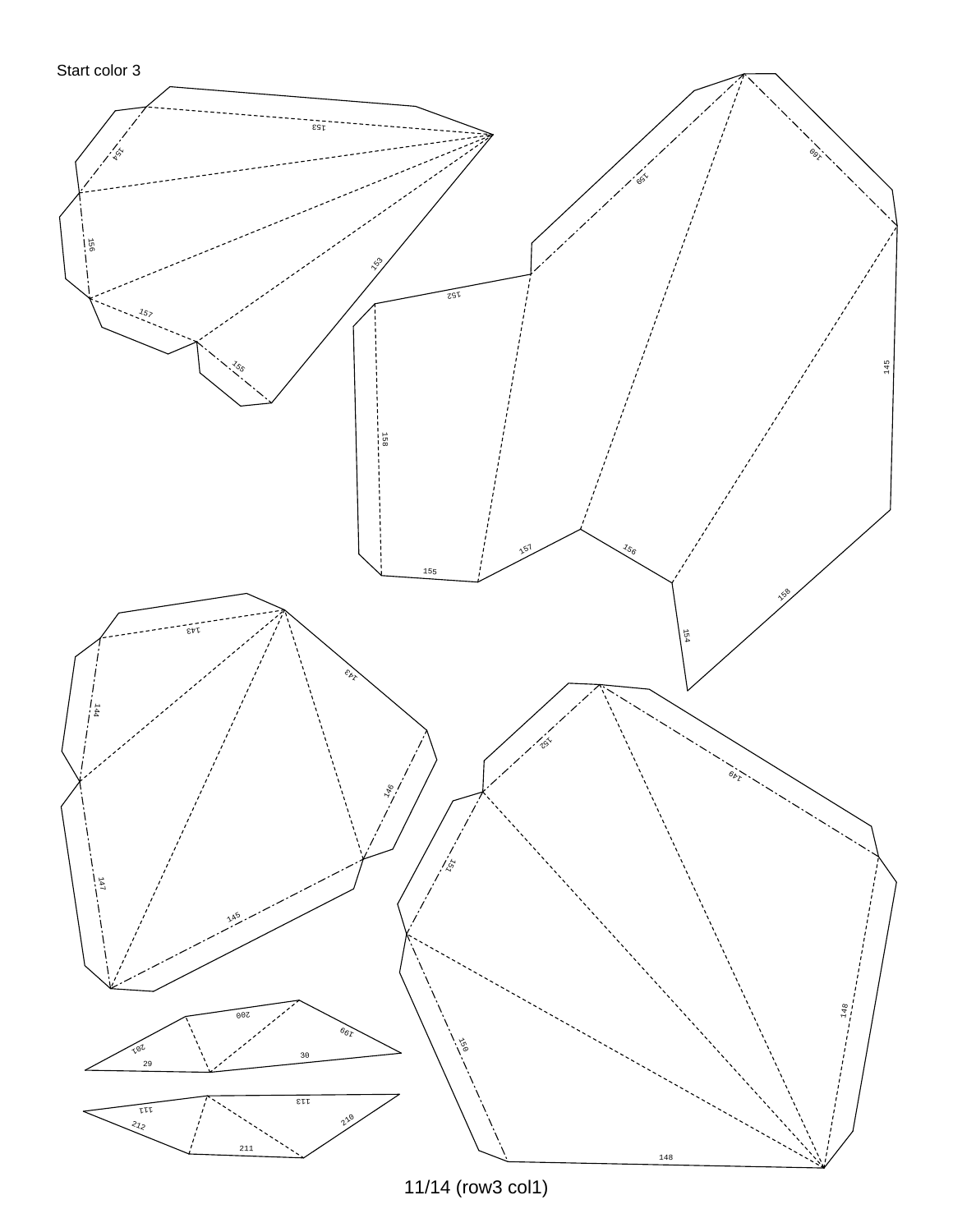![](_page_10_Figure_1.jpeg)

11/14 (row3 col1)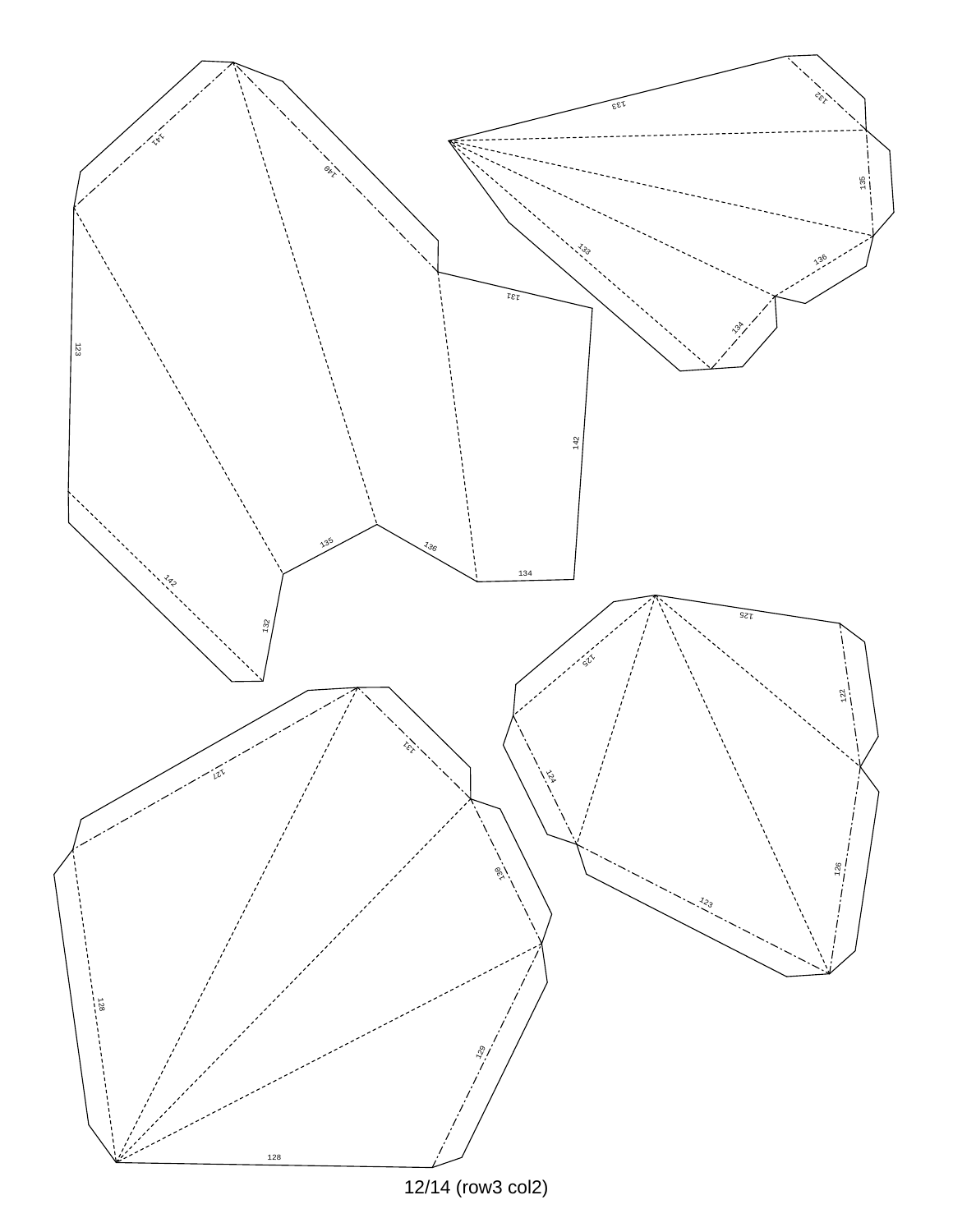![](_page_11_Figure_0.jpeg)

12/14 (row3 col2)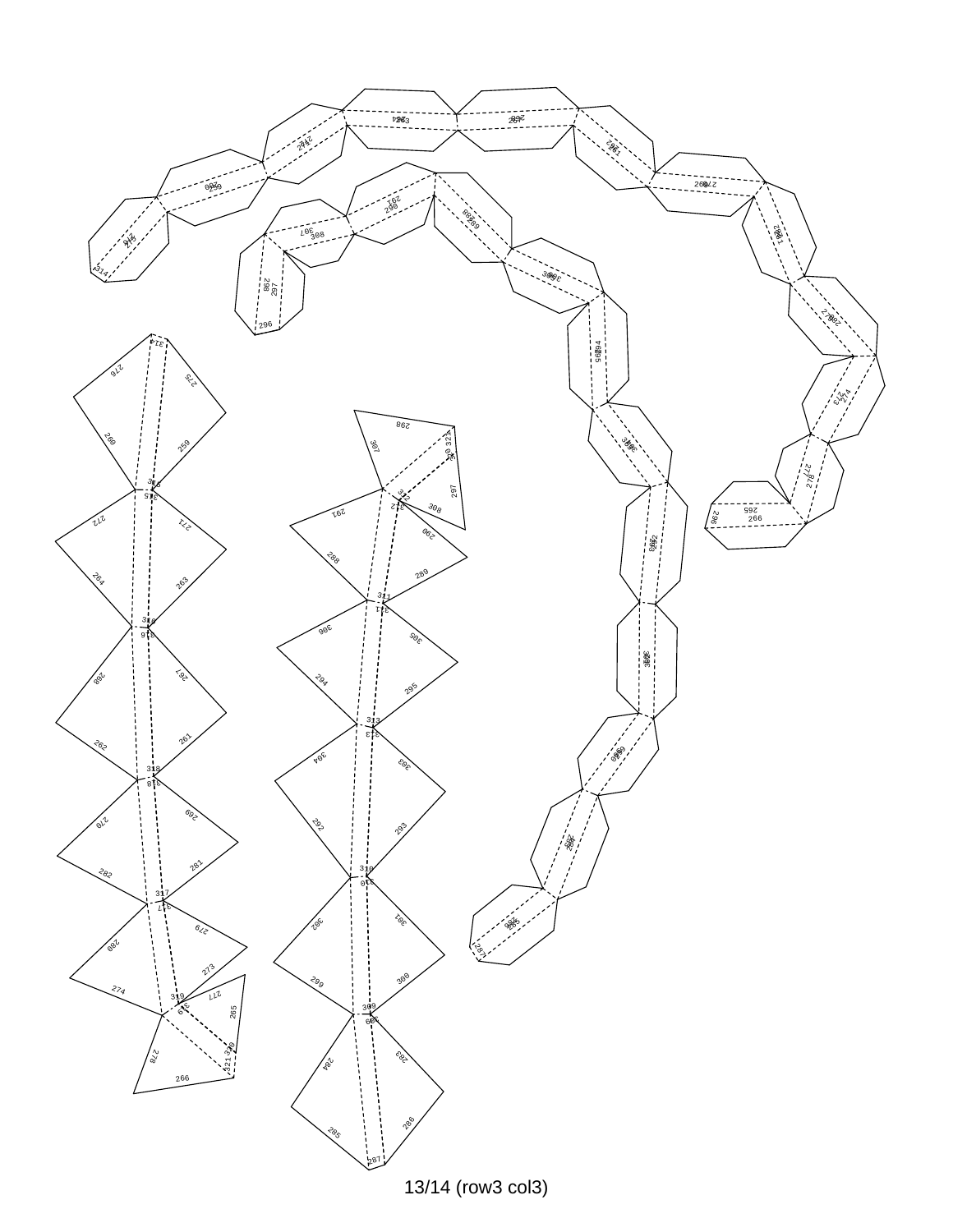![](_page_12_Picture_0.jpeg)